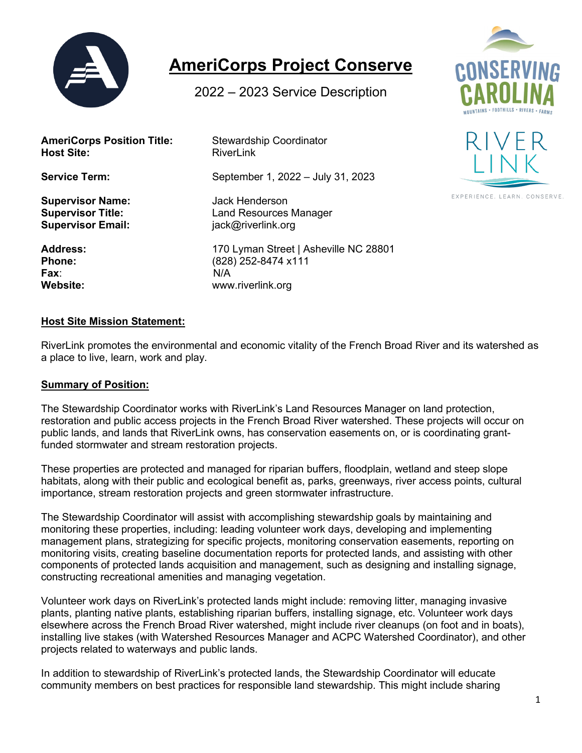

# **AmeriCorps Project Conserve**

2022 – 2023 Service Description

| <b>AmeriCorps Position Title:</b> | <b>Stewardship Coordinator</b>        |
|-----------------------------------|---------------------------------------|
| <b>Host Site:</b>                 | RiverLink                             |
| <b>Service Term:</b>              | September 1, 2022 - July 31, 2023     |
| <b>Supervisor Name:</b>           | <b>Jack Henderson</b>                 |
| <b>Supervisor Title:</b>          | <b>Land Resources Manager</b>         |
| <b>Supervisor Email:</b>          | jack@riverlink.org                    |
| <b>Address:</b>                   | 170 Lyman Street   Asheville NC 28801 |
| <b>Phone:</b>                     | (828) 252-8474 x111                   |
| Fax∶                              | N/A                                   |
| <b>Website:</b>                   | www.riverlink.org                     |





EXPERIENCE, LEARN, CONSERVE

#### **Host Site Mission Statement:**

RiverLink promotes the environmental and economic vitality of the French Broad River and its watershed as a place to live, learn, work and play.

#### **Summary of Position:**

The Stewardship Coordinator works with RiverLink's Land Resources Manager on land protection, restoration and public access projects in the French Broad River watershed. These projects will occur on public lands, and lands that RiverLink owns, has conservation easements on, or is coordinating grantfunded stormwater and stream restoration projects.

These properties are protected and managed for riparian buffers, floodplain, wetland and steep slope habitats, along with their public and ecological benefit as, parks, greenways, river access points, cultural importance, stream restoration projects and green stormwater infrastructure.

The Stewardship Coordinator will assist with accomplishing stewardship goals by maintaining and monitoring these properties, including: leading volunteer work days, developing and implementing management plans, strategizing for specific projects, monitoring conservation easements, reporting on monitoring visits, creating baseline documentation reports for protected lands, and assisting with other components of protected lands acquisition and management, such as designing and installing signage, constructing recreational amenities and managing vegetation.

Volunteer work days on RiverLink's protected lands might include: removing litter, managing invasive plants, planting native plants, establishing riparian buffers, installing signage, etc. Volunteer work days elsewhere across the French Broad River watershed, might include river cleanups (on foot and in boats), installing live stakes (with Watershed Resources Manager and ACPC Watershed Coordinator), and other projects related to waterways and public lands.

In addition to stewardship of RiverLink's protected lands, the Stewardship Coordinator will educate community members on best practices for responsible land stewardship. This might include sharing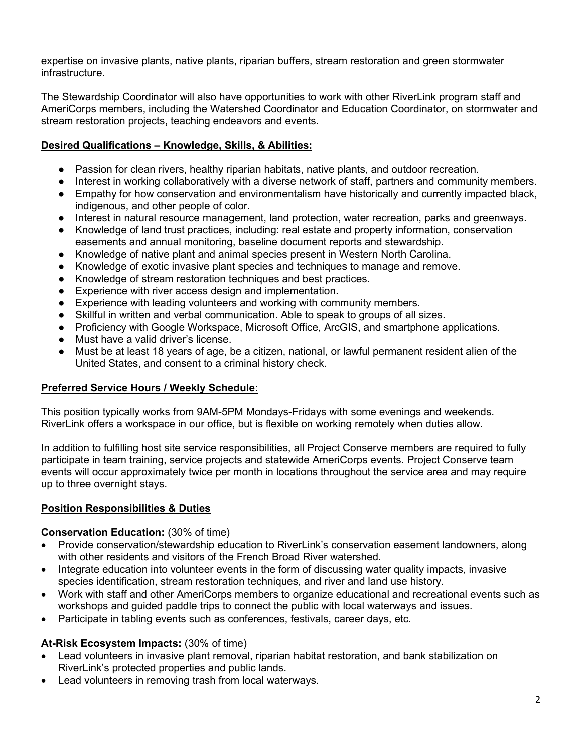expertise on invasive plants, native plants, riparian buffers, stream restoration and green stormwater infrastructure.

The Stewardship Coordinator will also have opportunities to work with other RiverLink program staff and AmeriCorps members, including the Watershed Coordinator and Education Coordinator, on stormwater and stream restoration projects, teaching endeavors and events.

# **Desired Qualifications – Knowledge, Skills, & Abilities:**

- Passion for clean rivers, healthy riparian habitats, native plants, and outdoor recreation.
- Interest in working collaboratively with a diverse network of staff, partners and community members.
- Empathy for how conservation and environmentalism have historically and currently impacted black, indigenous, and other people of color.
- Interest in natural resource management, land protection, water recreation, parks and greenways.
- Knowledge of land trust practices, including: real estate and property information, conservation easements and annual monitoring, baseline document reports and stewardship.
- Knowledge of native plant and animal species present in Western North Carolina.
- Knowledge of exotic invasive plant species and techniques to manage and remove.
- Knowledge of stream restoration techniques and best practices.
- Experience with river access design and implementation.
- Experience with leading volunteers and working with community members.
- Skillful in written and verbal communication. Able to speak to groups of all sizes.
- Proficiency with Google Workspace, Microsoft Office, ArcGIS, and smartphone applications.
- Must have a valid driver's license.
- Must be at least 18 years of age, be a citizen, national, or lawful permanent resident alien of the United States, and consent to a criminal history check.

## **Preferred Service Hours / Weekly Schedule:**

This position typically works from 9AM-5PM Mondays-Fridays with some evenings and weekends. RiverLink offers a workspace in our office, but is flexible on working remotely when duties allow.

In addition to fulfilling host site service responsibilities, all Project Conserve members are required to fully participate in team training, service projects and statewide AmeriCorps events. Project Conserve team events will occur approximately twice per month in locations throughout the service area and may require up to three overnight stays.

## **Position Responsibilities & Duties**

#### **Conservation Education:** (30% of time)

- Provide conservation/stewardship education to RiverLink's conservation easement landowners, along with other residents and visitors of the French Broad River watershed.
- Integrate education into volunteer events in the form of discussing water quality impacts, invasive species identification, stream restoration techniques, and river and land use history.
- Work with staff and other AmeriCorps members to organize educational and recreational events such as workshops and guided paddle trips to connect the public with local waterways and issues.
- Participate in tabling events such as conferences, festivals, career days, etc.

## **At-Risk Ecosystem Impacts:** (30% of time)

- Lead volunteers in invasive plant removal, riparian habitat restoration, and bank stabilization on RiverLink's protected properties and public lands.
- Lead volunteers in removing trash from local waterways.